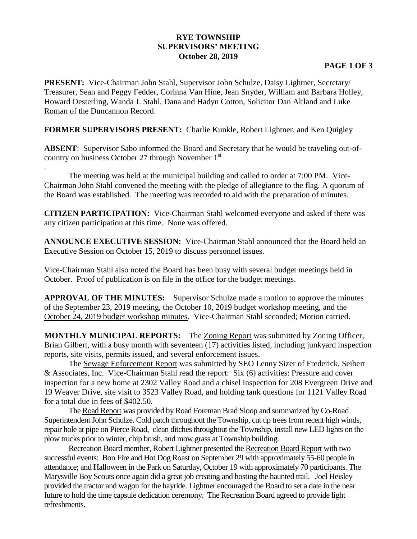## **RYE TOWNSHIP SUPERVISORS' MEETING October 28, 2019**

## **PAGE 1 OF 3**

**PRESENT:** Vice-Chairman John Stahl, Supervisor John Schulze, Daisy Lightner, Secretary/ Treasurer, Sean and Peggy Fedder, Corinna Van Hine, Jean Snyder, William and Barbara Holley, Howard Oesterling, Wanda J. Stahl, Dana and Hadyn Cotton, Solicitor Dan Altland and Luke Roman of the Duncannon Record.

**FORMER SUPERVISORS PRESENT:** Charlie Kunkle, Robert Lightner, and Ken Quigley

.

**ABSENT**: Supervisor Sabo informed the Board and Secretary that he would be traveling out-ofcountry on business October 27 through November 1<sup>st</sup>

The meeting was held at the municipal building and called to order at 7:00 PM. Vice-Chairman John Stahl convened the meeting with the pledge of allegiance to the flag. A quorum of the Board was established. The meeting was recorded to aid with the preparation of minutes.

**CITIZEN PARTICIPATION:** Vice-Chairman Stahl welcomed everyone and asked if there was any citizen participation at this time. None was offered.

**ANNOUNCE EXECUTIVE SESSION:** Vice-Chairman Stahl announced that the Board held an Executive Session on October 15, 2019 to discuss personnel issues.

Vice-Chairman Stahl also noted the Board has been busy with several budget meetings held in October. Proof of publication is on file in the office for the budget meetings.

**APPROVAL OF THE MINUTES:** Supervisor Schulze made a motion to approve the minutes of the September 23, 2019 meeting, the October 10, 2019 budget workshop meeting, and the October 24, 2019 budget workshop minutes. Vice-Chairman Stahl seconded; Motion carried.

**MONTHLY MUNICIPAL REPORTS:** The Zoning Report was submitted by Zoning Officer, Brian Gilbert, with a busy month with seventeen (17) activities listed, including junkyard inspection reports, site visits, permits issued, and several enforcement issues.

The Sewage Enforcement Report was submitted by SEO Lenny Sizer of Frederick, Seibert & Associates, Inc. Vice-Chairman Stahl read the report: Six (6) activities: Pressure and cover inspection for a new home at 2302 Valley Road and a chisel inspection for 208 Evergreen Drive and 19 Weaver Drive, site visit to 3523 Valley Road, and holding tank questions for 1121 Valley Road for a total due in fees of \$402.50.

The Road Report was provided by Road Foreman Brad Sloop and summarized by Co-Road Superintendent John Schulze. Cold patch throughout the Township, cut up trees from recent high winds, repair hole at pipe on Pierce Road, clean ditches throughout the Township, install new LED lights on the plow trucks prior to winter, chip brush, and mow grass at Township building.

Recreation Board member, Robert Lightner presented the Recreation Board Report with two successful events: Bon Fire and Hot Dog Roast on September 29 with approximately 55-60 people in attendance; and Halloween in the Park on Saturday, October 19 with approximately 70 participants. The Marysville Boy Scouts once again did a great job creating and hosting the haunted trail. Joel Heisley provided the tractor and wagon for the hayride. Lightner encouraged the Board to set a date in the near future to hold the time capsule dedication ceremony. The Recreation Board agreed to provide light refreshments.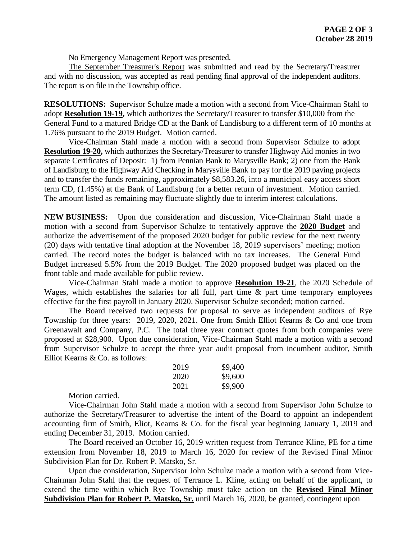No Emergency Management Report was presented.

The September Treasurer's Report was submitted and read by the Secretary/Treasurer and with no discussion, was accepted as read pending final approval of the independent auditors. The report is on file in the Township office.

**RESOLUTIONS:** Supervisor Schulze made a motion with a second from Vice-Chairman Stahl to adopt **Resolution 19-19,** which authorizes the Secretary/Treasurer to transfer \$10,000 from the General Fund to a matured Bridge CD at the Bank of Landisburg to a different term of 10 months at 1.76% pursuant to the 2019 Budget. Motion carried.

Vice-Chairman Stahl made a motion with a second from Supervisor Schulze to adopt **Resolution 19-20,** which authorizes the Secretary/Treasurer to transfer Highway Aid monies in two separate Certificates of Deposit: 1) from Pennian Bank to Marysville Bank; 2) one from the Bank of Landisburg to the Highway Aid Checking in Marysville Bank to pay for the 2019 paving projects and to transfer the funds remaining, approximately \$8,583.26, into a municipal easy access short term CD, (1.45%) at the Bank of Landisburg for a better return of investment. Motion carried. The amount listed as remaining may fluctuate slightly due to interim interest calculations.

**NEW BUSINESS:** Upon due consideration and discussion, Vice-Chairman Stahl made a motion with a second from Supervisor Schulze to tentatively approve the **2020 Budget** and authorize the advertisement of the proposed 2020 budget for public review for the next twenty (20) days with tentative final adoption at the November 18, 2019 supervisors' meeting; motion carried. The record notes the budget is balanced with no tax increases. The General Fund Budget increased 5.5% from the 2019 Budget. The 2020 proposed budget was placed on the front table and made available for public review.

Vice-Chairman Stahl made a motion to approve **Resolution 19-21**, the 2020 Schedule of Wages, which establishes the salaries for all full, part time  $\&$  part time temporary employees effective for the first payroll in January 2020. Supervisor Schulze seconded; motion carried.

The Board received two requests for proposal to serve as independent auditors of Rye Township for three years: 2019, 2020, 2021. One from Smith Elliot Kearns & Co and one from Greenawalt and Company, P.C. The total three year contract quotes from both companies were proposed at \$28,900. Upon due consideration, Vice-Chairman Stahl made a motion with a second from Supervisor Schulze to accept the three year audit proposal from incumbent auditor, Smith Elliot Kearns & Co. as follows:

| 2019 | \$9,400 |
|------|---------|
| 2020 | \$9,600 |
| 2021 | \$9,900 |

Motion carried.

Vice-Chairman John Stahl made a motion with a second from Supervisor John Schulze to authorize the Secretary/Treasurer to advertise the intent of the Board to appoint an independent accounting firm of Smith, Eliot, Kearns & Co. for the fiscal year beginning January 1, 2019 and ending December 31, 2019. Motion carried.

The Board received an October 16, 2019 written request from Terrance Kline, PE for a time extension from November 18, 2019 to March 16, 2020 for review of the Revised Final Minor Subdivision Plan for Dr. Robert P. Matsko, Sr.

Upon due consideration, Supervisor John Schulze made a motion with a second from Vice-Chairman John Stahl that the request of Terrance L. Kline, acting on behalf of the applicant, to extend the time within which Rye Township must take action on the **Revised Final Minor Subdivision Plan for Robert P. Matsko, Sr.** until March 16, 2020, be granted, contingent upon